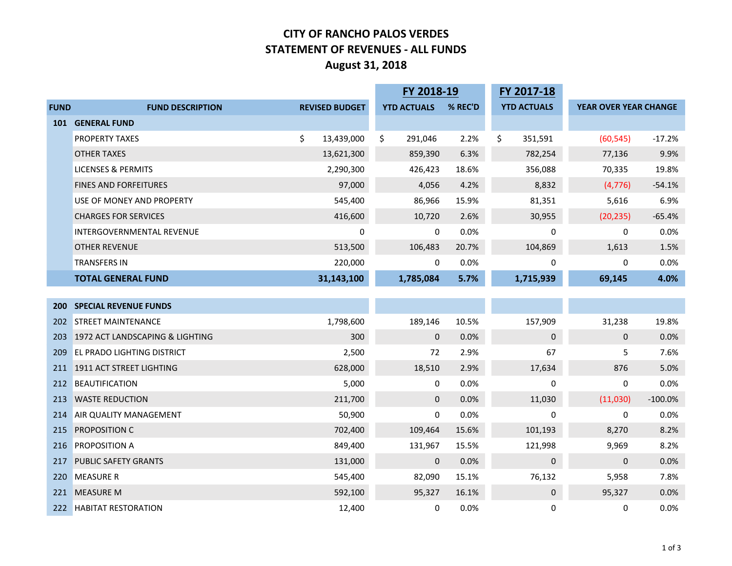## **CITY OF RANCHO PALOS VERDES STATEMENT OF REVENUES - ALL FUNDS August 31, 2018**

|             |                                   |                       | FY 2018-19         |         | FY 2017-18         |                       |           |
|-------------|-----------------------------------|-----------------------|--------------------|---------|--------------------|-----------------------|-----------|
| <b>FUND</b> | <b>FUND DESCRIPTION</b>           | <b>REVISED BUDGET</b> | <b>YTD ACTUALS</b> | % REC'D | <b>YTD ACTUALS</b> | YEAR OVER YEAR CHANGE |           |
| 101         | <b>GENERAL FUND</b>               |                       |                    |         |                    |                       |           |
|             | <b>PROPERTY TAXES</b>             | \$<br>13,439,000      | \$<br>291,046      | 2.2%    | \$<br>351,591      | (60, 545)             | $-17.2%$  |
|             | <b>OTHER TAXES</b>                | 13,621,300            | 859,390            | 6.3%    | 782,254            | 77,136                | 9.9%      |
|             | <b>LICENSES &amp; PERMITS</b>     | 2,290,300             | 426,423            | 18.6%   | 356,088            | 70,335                | 19.8%     |
|             | <b>FINES AND FORFEITURES</b>      | 97,000                | 4,056              | 4.2%    | 8,832              | (4, 776)              | $-54.1%$  |
|             | USE OF MONEY AND PROPERTY         | 545,400               | 86,966             | 15.9%   | 81,351             | 5,616                 | 6.9%      |
|             | <b>CHARGES FOR SERVICES</b>       | 416,600               | 10,720             | 2.6%    | 30,955             | (20, 235)             | $-65.4%$  |
|             | <b>INTERGOVERNMENTAL REVENUE</b>  | 0                     | 0                  | 0.0%    | $\mathbf 0$        | 0                     | 0.0%      |
|             | <b>OTHER REVENUE</b>              | 513,500               | 106,483            | 20.7%   | 104,869            | 1,613                 | 1.5%      |
|             | <b>TRANSFERS IN</b>               | 220,000               | 0                  | 0.0%    | 0                  | 0                     | 0.0%      |
|             | <b>TOTAL GENERAL FUND</b>         | 31,143,100            | 1,785,084          | 5.7%    | 1,715,939          | 69,145                | 4.0%      |
|             |                                   |                       |                    |         |                    |                       |           |
| <b>200</b>  | <b>SPECIAL REVENUE FUNDS</b>      |                       |                    |         |                    |                       |           |
| 202         | <b>STREET MAINTENANCE</b>         | 1,798,600             | 189,146            | 10.5%   | 157,909            | 31,238                | 19.8%     |
| 203         | 1972 ACT LANDSCAPING & LIGHTING   | 300                   | $\mathbf 0$        | 0.0%    | $\pmb{0}$          | 0                     | 0.0%      |
| 209         | <b>EL PRADO LIGHTING DISTRICT</b> | 2,500                 | 72                 | 2.9%    | 67                 | 5                     | 7.6%      |
|             | 211 1911 ACT STREET LIGHTING      | 628,000               | 18,510             | 2.9%    | 17,634             | 876                   | 5.0%      |
| 212         | <b>BEAUTIFICATION</b>             | 5,000                 | 0                  | 0.0%    | 0                  | 0                     | 0.0%      |
| 213         | <b>WASTE REDUCTION</b>            | 211,700               | $\mathbf{0}$       | 0.0%    | 11,030             | (11,030)              | $-100.0%$ |
| 214         | AIR QUALITY MANAGEMENT            | 50,900                | 0                  | 0.0%    | 0                  | 0                     | 0.0%      |
| 215         | PROPOSITION C                     | 702,400               | 109,464            | 15.6%   | 101,193            | 8,270                 | 8.2%      |
|             | 216 PROPOSITION A                 | 849,400               | 131,967            | 15.5%   | 121,998            | 9,969                 | 8.2%      |
| 217         | <b>PUBLIC SAFETY GRANTS</b>       | 131,000               | $\mathbf 0$        | 0.0%    | $\mathbf 0$        | 0                     | 0.0%      |
| 220         | <b>MEASURE R</b>                  | 545,400               | 82,090             | 15.1%   | 76,132             | 5,958                 | 7.8%      |
|             | 221 MEASURE M                     | 592,100               | 95,327             | 16.1%   | $\pmb{0}$          | 95,327                | 0.0%      |
| 222         | <b>HABITAT RESTORATION</b>        | 12,400                | 0                  | 0.0%    | 0                  | 0                     | 0.0%      |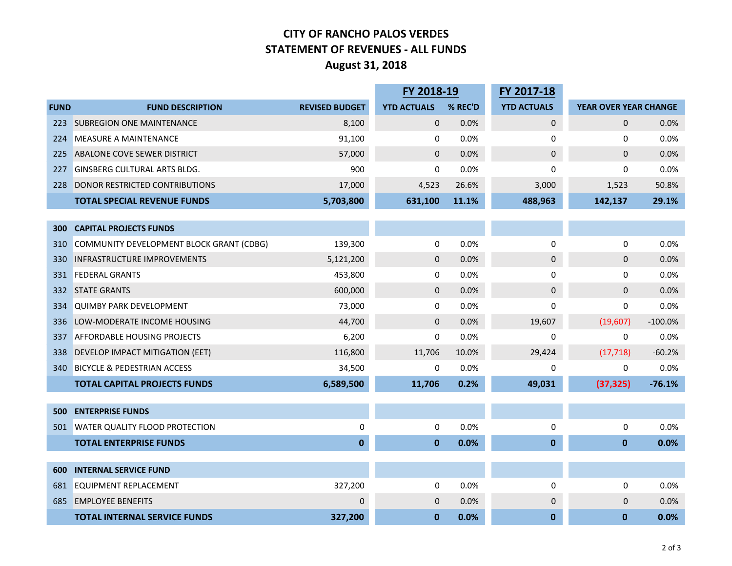## **CITY OF RANCHO PALOS VERDES STATEMENT OF REVENUES - ALL FUNDS August 31, 2018**

|             |                                          |                       | FY 2018-19         |         | FY 2017-18         |                       |           |  |
|-------------|------------------------------------------|-----------------------|--------------------|---------|--------------------|-----------------------|-----------|--|
| <b>FUND</b> | <b>FUND DESCRIPTION</b>                  | <b>REVISED BUDGET</b> | <b>YTD ACTUALS</b> | % REC'D | <b>YTD ACTUALS</b> | YEAR OVER YEAR CHANGE |           |  |
| 223         | <b>SUBREGION ONE MAINTENANCE</b>         | 8,100                 | $\mathbf 0$        | 0.0%    | 0                  | $\mathbf{0}$          | 0.0%      |  |
| 224         | <b>MEASURE A MAINTENANCE</b>             | 91,100                | 0                  | 0.0%    | 0                  | 0                     | 0.0%      |  |
| 225         | ABALONE COVE SEWER DISTRICT              | 57,000                | $\mathbf{0}$       | 0.0%    | 0                  | $\Omega$              | 0.0%      |  |
| 227         | <b>GINSBERG CULTURAL ARTS BLDG.</b>      | 900                   | 0                  | 0.0%    | 0                  | 0                     | 0.0%      |  |
| 228         | <b>DONOR RESTRICTED CONTRIBUTIONS</b>    | 17,000                | 4,523              | 26.6%   | 3,000              | 1,523                 | 50.8%     |  |
|             | <b>TOTAL SPECIAL REVENUE FUNDS</b>       | 5,703,800             | 631,100            | 11.1%   | 488,963            | 142,137               | 29.1%     |  |
|             |                                          |                       |                    |         |                    |                       |           |  |
| 300         | <b>CAPITAL PROJECTS FUNDS</b>            |                       |                    |         |                    |                       |           |  |
| 310         | COMMUNITY DEVELOPMENT BLOCK GRANT (CDBG) | 139,300               | 0                  | 0.0%    | $\pmb{0}$          | 0                     | 0.0%      |  |
| 330         | <b>INFRASTRUCTURE IMPROVEMENTS</b>       | 5,121,200             | $\mathbf{0}$       | 0.0%    | 0                  | $\Omega$              | 0.0%      |  |
| 331         | <b>FEDERAL GRANTS</b>                    | 453,800               | 0                  | 0.0%    | 0                  | 0                     | 0.0%      |  |
| 332         | <b>STATE GRANTS</b>                      | 600,000               | $\mathbf 0$        | 0.0%    | 0                  | 0                     | 0.0%      |  |
| 334         | <b>QUIMBY PARK DEVELOPMENT</b>           | 73,000                | 0                  | 0.0%    | 0                  | 0                     | 0.0%      |  |
| 336         | LOW-MODERATE INCOME HOUSING              | 44,700                | $\mathbf 0$        | 0.0%    | 19,607             | (19,607)              | $-100.0%$ |  |
| 337         | <b>AFFORDABLE HOUSING PROJECTS</b>       | 6,200                 | $\mathbf{0}$       | 0.0%    | $\mathbf 0$        | 0                     | 0.0%      |  |
| 338         | DEVELOP IMPACT MITIGATION (EET)          | 116,800               | 11,706             | 10.0%   | 29,424             | (17, 718)             | $-60.2%$  |  |
| 340         | <b>BICYCLE &amp; PEDESTRIAN ACCESS</b>   | 34,500                | 0                  | 0.0%    | 0                  | 0                     | 0.0%      |  |
|             | <b>TOTAL CAPITAL PROJECTS FUNDS</b>      | 6,589,500             | 11,706             | 0.2%    | 49,031             | (37, 325)             | $-76.1%$  |  |
|             |                                          |                       |                    |         |                    |                       |           |  |
| 500         | <b>ENTERPRISE FUNDS</b>                  |                       |                    |         |                    |                       |           |  |
| 501         | <b>WATER QUALITY FLOOD PROTECTION</b>    | 0                     | 0                  | 0.0%    | 0                  | 0                     | 0.0%      |  |
|             | <b>TOTAL ENTERPRISE FUNDS</b>            | $\mathbf{0}$          | $\mathbf{0}$       | 0.0%    | $\mathbf 0$        | $\mathbf 0$           | 0.0%      |  |
|             |                                          |                       |                    |         |                    |                       |           |  |
| 600         | <b>INTERNAL SERVICE FUND</b>             |                       |                    |         |                    |                       |           |  |
| 681         | <b>EQUIPMENT REPLACEMENT</b>             | 327,200               | 0                  | 0.0%    | 0                  | 0                     | 0.0%      |  |
| 685         | <b>EMPLOYEE BENEFITS</b>                 | $\Omega$              | $\mathbf 0$        | 0.0%    | $\mathbf{0}$       | 0                     | 0.0%      |  |
|             | <b>TOTAL INTERNAL SERVICE FUNDS</b>      | 327,200               | $\mathbf 0$        | 0.0%    | $\mathbf 0$        | $\bf{0}$              | 0.0%      |  |